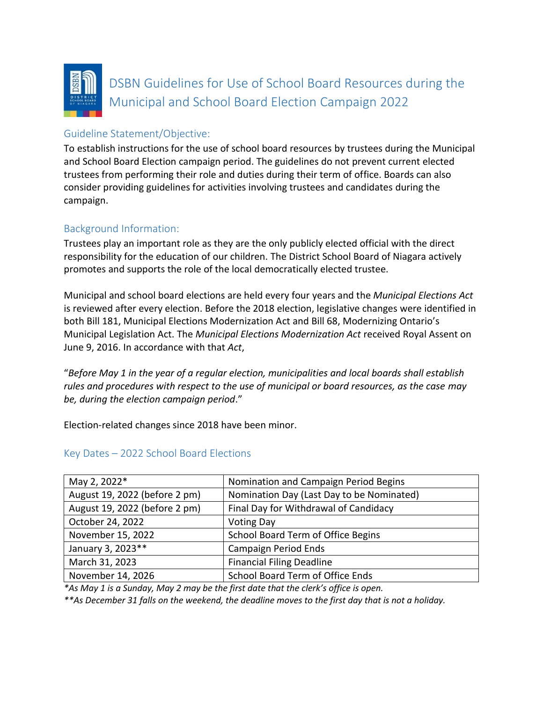

DSBN Guidelines for Use of School Board Resources during the Municipal and School Board Election Campaign 2022

# Guideline Statement/Objective:

To establish instructions for the use of school board resources by trustees during the Municipal and School Board Election campaign period. The guidelines do not prevent current elected trustees from performing their role and duties during their term of office. Boards can also consider providing guidelines for activities involving trustees and candidates during the campaign.

# Background Information:

Trustees play an important role as they are the only publicly elected official with the direct responsibility for the education of our children. The District School Board of Niagara actively promotes and supports the role of the local democratically elected trustee.

Municipal and school board elections are held every four years and the *Municipal Elections Act* is reviewed after every election. Before the 2018 election, legislative changes were identified in both Bill 181, Municipal Elections Modernization Act and Bill 68, Modernizing Ontario's Municipal Legislation Act. The *Municipal Elections Modernization Act* received Royal Assent on June 9, 2016. In accordance with that *Act*,

"*Before May 1 in the year of a regular election, municipalities and local boards shall establish rules and procedures with respect to the use of municipal or board resources, as the case may be, during the election campaign period*."

Election-related changes since 2018 have been minor.

| May 2, 2022*                  | Nomination and Campaign Period Begins     |
|-------------------------------|-------------------------------------------|
| August 19, 2022 (before 2 pm) | Nomination Day (Last Day to be Nominated) |
| August 19, 2022 (before 2 pm) | Final Day for Withdrawal of Candidacy     |
| October 24, 2022              | <b>Voting Day</b>                         |
| November 15, 2022             | School Board Term of Office Begins        |
| January 3, 2023**             | <b>Campaign Period Ends</b>               |
| March 31, 2023                | <b>Financial Filing Deadline</b>          |
| November 14, 2026             | School Board Term of Office Ends          |

# Key Dates – 2022 School Board Elections

*\*As May 1 is a Sunday, May 2 may be the first date that the clerk's office is open.*

*\*\*As December 31 falls on the weekend, the deadline moves to the first day that is not a holiday.*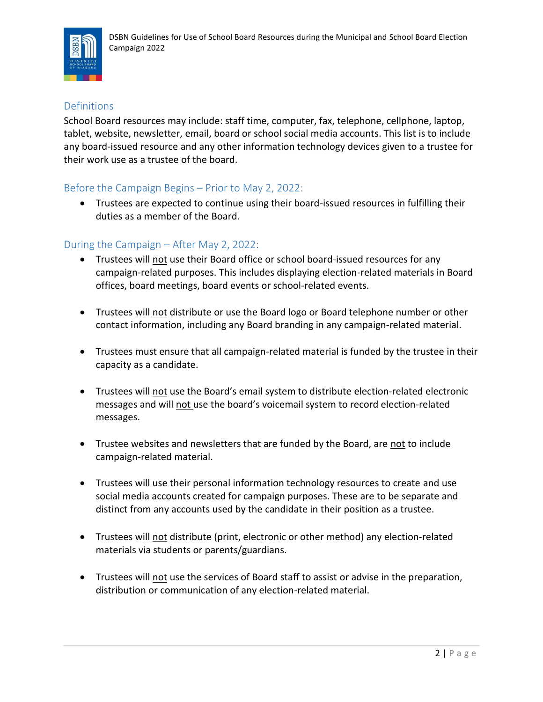

# **Definitions**

School Board resources may include: staff time, computer, fax, telephone, cellphone, laptop, tablet, website, newsletter, email, board or school social media accounts. This list is to include any board-issued resource and any other information technology devices given to a trustee for their work use as a trustee of the board.

## Before the Campaign Begins – Prior to May 2, 2022:

• Trustees are expected to continue using their board-issued resources in fulfilling their duties as a member of the Board.

## During the Campaign – After May 2, 2022:

- Trustees will not use their Board office or school board-issued resources for any campaign-related purposes. This includes displaying election-related materials in Board offices, board meetings, board events or school-related events.
- Trustees will not distribute or use the Board logo or Board telephone number or other contact information, including any Board branding in any campaign-related material.
- Trustees must ensure that all campaign-related material is funded by the trustee in their capacity as a candidate.
- Trustees will not use the Board's email system to distribute election-related electronic messages and will not use the board's voicemail system to record election-related messages.
- Trustee websites and newsletters that are funded by the Board, are not to include campaign-related material.
- Trustees will use their personal information technology resources to create and use social media accounts created for campaign purposes. These are to be separate and distinct from any accounts used by the candidate in their position as a trustee.
- Trustees will not distribute (print, electronic or other method) any election-related materials via students or parents/guardians.
- Trustees will not use the services of Board staff to assist or advise in the preparation, distribution or communication of any election-related material.